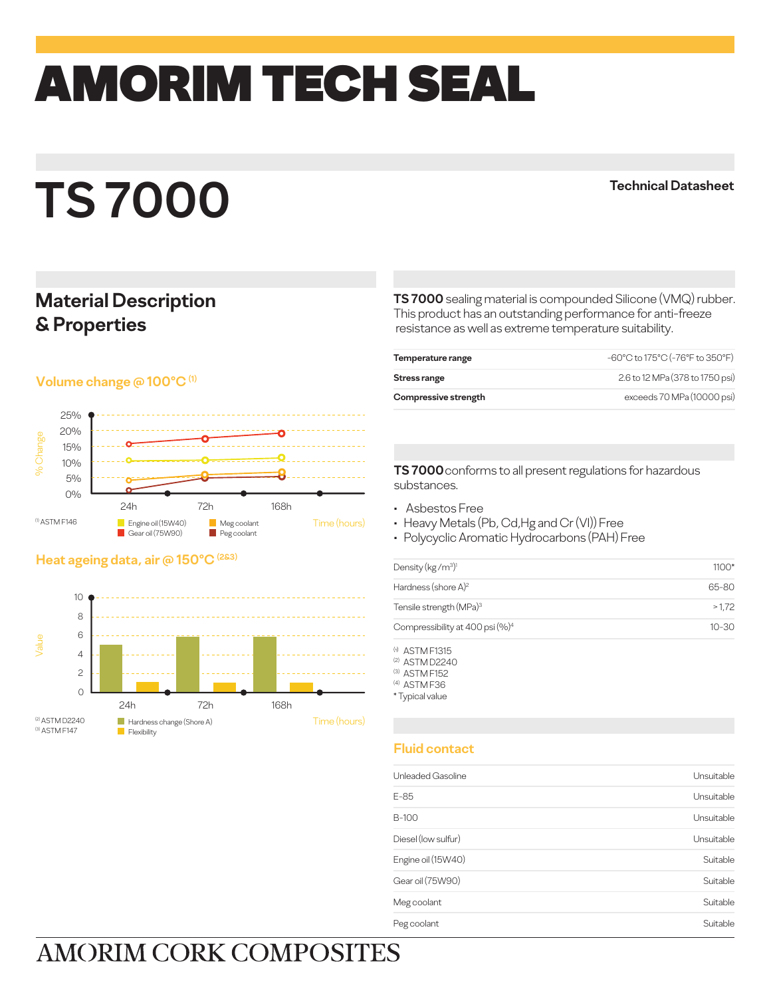# amorim TECH SEAL

# **TS 7000**

#### **Technical Datasheet**

### **Material Description & Properties**

#### **Volume change @ 100°C (1)**



#### **Heat ageing data, air @ 150°C (2&3)**



**TS 7000** sealing material is compounded Silicone (VMQ) rubber. This product has an outstanding performance for anti-freeze resistance as well as extreme temperature suitability.

| Temperature range    | -60°C to 175°C (-76°F to 350°F) |
|----------------------|---------------------------------|
| Stress range         | 2.6 to 12 MPa (378 to 1750 psi) |
| Compressive strength | exceeds 70 MPa (10000 psi)      |

**TS 7000** conforms to all present regulations for hazardous substances.

- Asbestos Free
- Heavy Metals (Pb, Cd,Hg and Cr (VI)) Free
- Polycyclic Aromatic Hydrocarbons (PAH) Free

| $1100*$   |
|-----------|
| 65-80     |
| >1.72     |
| $10 - 30$ |
|           |

(a) ASTM F1315 (2) ASTM D2240

(3) ASTM F152

(4) ASTM F36

\* Typical value

#### **Fluid contact**

| Unleaded Gasoline   | Unsuitable |
|---------------------|------------|
| E-85                | Unsuitable |
| B-100               | Unsuitable |
| Diesel (Iow sulfur) | Unsuitable |
| Engine oil (15W40)  | Suitable   |
| Gear oil (75W90)    | Suitable   |
| Meg coolant         | Suitable   |
| Peg coolant         | Suitable   |

## **AMORIM CORK COMPOSITES**